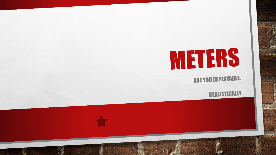# METERS

**ARE YOU DEPLOYABLE** 

**REALISTICALLY**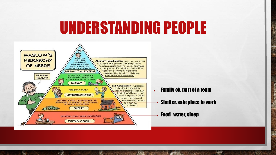#### UNDERSTANDING PEOPLE



W.

 $\mathcal{L}$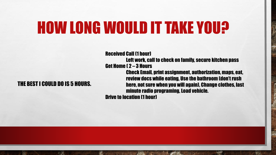#### HOW LONG WOULD IT TAKE YOU?

#### THE BEST I COULD DO IS 5 HOURS.

 $\frac{1}{2}$ 

Received Call (1 hour) Left work, call to check on family, secure kitchen pass Get Home ( 2 – 3 Hours Check Email, print assignment, authorization, maps, eat, review docs while eating, Use the bathroom (don't rush here, not sure when you will again), Change clothes, last minute radio programing, Load vehicle. Drive to location (1 hour)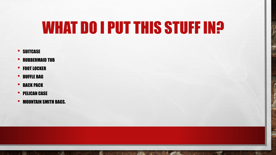### WHAT DO I PUT THIS STUFF IN?

**BOOK AND ARRESTS AND ARRESTS** 

 $\mathbb{R}$  (  $\mathbb{R}$  )

 $\mathcal{H}$ 

**Beach** 

- SUITCASE
- RUBBERMAID TUB
- FOOT LOCKER
- DUFFLE BAG
- **BACK PACK**

- PELICAN CASE
- MOUNTAIN SMITH BAGS.

 $\mathbb{A}_n$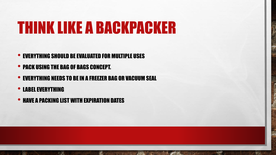### THINK LIKE A BACKPACKER

- EVERYTHING SHOULD BE EVALUATED FOR MULTIPLE USES
- PACK USING THE BAG OF BAGS CONCEPT.

 $\mathbb{A}$ 

• EVERYTHING NEEDS TO BE IN A FREEZER BAG OR VACUUM SEAL

靏

• LABEL EVERYTHING

 $\mathcal{L}_{\mathcal{L}}$ 

• HAVE A PACKING LIST WITH EXPIRATION DATES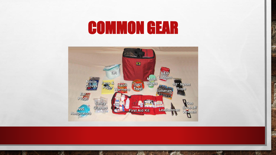### COMMON GEAR



The committee of the first state of the committee of the committee of the committee of

 $\mathcal{L}_\text{c}$ 

**REC**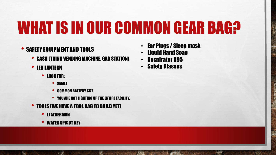### WHAT IS IN OUR COMMON GEAR BAG?

#### • SAFETY EQUIPMENT AND TOOLS

- CASH (THINK VENDING MACHINE, GAS STATION)
- LED LANTERN
	- LOOK FOR:
		- SMALL
		- COMMON BATTERY SIZE
		- YOU ARE NOT LIGHTING UP THE ENTIRE FACILITY.

靏

- TOOLS (WE HAVE A TOOL BAG TO BUILD YET)
	- **LEATHERMAN**

 $\mathcal{L}^{\mathcal{U}}$ 

• WATER SPIGOT KEY

 $\mathbb{A}$ 

• Ear Plugs / Sleep mask

**Wheat** 

- Liquid Hand Soap
- Respirator N95
- **Safety Glasses**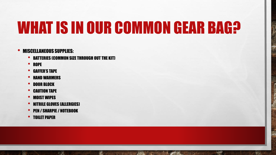### WHAT IS IN OUR COMMON GEAR BAG?

**BETWEEN THE REAL PROPERTY AND ARRAIGNMENT** 

 $\mathbb{R}^n$  .

**光** 

#### • MISCELLANEOUS SUPPLIES:

- BATTERIES (COMMON SIZE THROUGH OUT THE KIT)
- ROPE
- GAFFER'S TAPE
- HAND WARMERS
- DOOR BLOCK
- **CAUTION TAPE**
- MOIST WIPES
- NITRILE GLOVES (ALLERGIES)
- PEN / SHARPIE / NOTEBOOK

 $\mathbb{A}$ 

• TOILET PAPER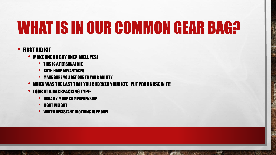### WHAT IS IN OUR COMMON GEAR BAG?

**Wheat** 

#### • FIRST AID KIT

 $\mathcal{L}^{\mathcal{U}}$ 

- MAKE ONE OR BUY ONE? WELL YES!
	- THIS IS A PERSONAL KIT.
	- BOTH HAVE ADVANTAGES
	- MAKE SURE YOU GET ONE TO YOUR ABILITY
- WHEN WAS THE LAST TIME YOU CHECKED YOUR KIT. PUT YOUR NOSE IN IT!

郷。

• LOOK AT A BACKPACKING TYPE:

 $\mathbb{A}$ 

- USUALLY MORE COMPREHENSIVE
- LIGHT WEIGHT
- WATER RESISTANT (NOTHING IS PROOF)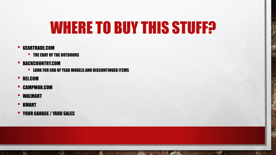#### WHERE TO BUY THIS STUFF?

 $\mathbb{R}^n$  .

25.1

#### • GEARTRADE.COM

- THE EBAY OF THE OUTDOORS
- BACKCOUNTRY.COM
	- LOOK FOR END OF YEAR MODELS AND DISCONTINUED ITEMS

**光** 

**AND CONTRACTOR** 

 $\mathbf{r}$ 

- REI.COM
- CAMPMOR.COM
- WALMART
- KMART

• YOUR GARAGE / YARD SALES

 $\mathbb{A}$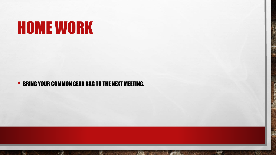### HOME WORK

 $\mathbb{A}_n$ 

#### • BRING YOUR COMMON GEAR BAG TO THE NEXT MEETING.

**BETWEEN STATE OF STATE** 

 $\mathcal{H}$ 

25.1